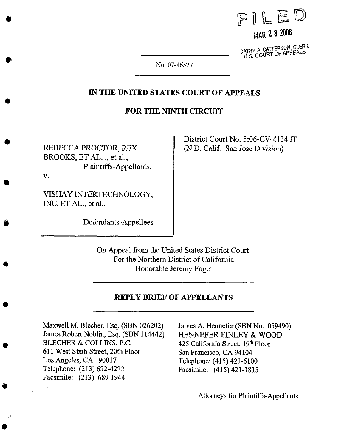

MAR 2 8 2008

CATHY A. CATTERSON, CLERK<br>U S. COURT OF APPEALS

No. 07-16527

#### IN THE **UNITED STATES** COURT OF **APPEALS**

#### **FOR THE NINTH** CIRCUIT

REBECCA PROCTOR, REX BROOKS, ET *A\_L..,* et al., Plaintiffs-Appellants, V.

 $\bullet$ 

O

District Court No. 5:06-CV-4134 JF (N.D. Calif. San Jose Division)

VISHAY INTERTECHNOLOGY, INC. ET AL., et al.,

Defendants-Appellees

On Appeal from the United States District Court For the Northern District of California Honorable Jeremy Fogel

#### **REPLY BRIEF OF APPELLANTS**

Maxwell M. Blecher, Esq. (SBN 026202) James Robert Noblin, Esq. (SBN 114442) BLECHER & COLLINS, P.C. 611 West Sixth Street, 20th Floor Los Angeles, CA 90017 Telephone: (213) 622-4222 Facsimile: (213) 689 1944

James A, Hennefer (SBN No. 059490) HENNEFER FINLEY & WOOD 425 California Street, 19th Floor San Francisco, CA 94104 Telephone: (415) 421-6100 Facsimile: (415) 421-1815

**Attorneys** for Plaintiffs-Appellants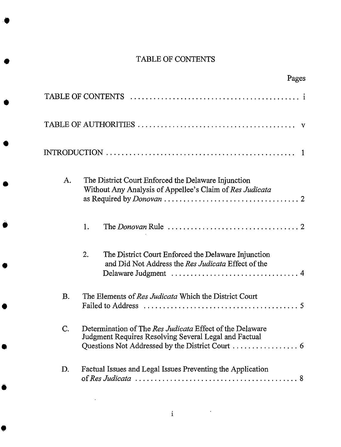# TABLE OF CONTENTS

|           | Pages                                                                                                                                                                                               |
|-----------|-----------------------------------------------------------------------------------------------------------------------------------------------------------------------------------------------------|
|           |                                                                                                                                                                                                     |
|           |                                                                                                                                                                                                     |
|           |                                                                                                                                                                                                     |
| Α.        | The District Court Enforced the Delaware Injunction<br>Without Any Analysis of Appellee's Claim of Res Judicata                                                                                     |
|           | 1.                                                                                                                                                                                                  |
|           | 2.<br>The District Court Enforced the Delaware Injunction<br>and Did Not Address the Res Judicata Effect of the                                                                                     |
| <b>B.</b> | The Elements of Res Judicata Which the District Court                                                                                                                                               |
| C.        | Determination of The Res Judicata Effect of the Delaware<br>Judgment Requires Resolving Several Legal and Factual<br>Questions Not Addressed by the District Court $\dots\dots\dots\dots\dots\dots$ |
| D.        | Factual Issues and Legal Issues Preventing the Application                                                                                                                                          |

 $\ddot{\phantom{1}}$ 

 $\overline{a}$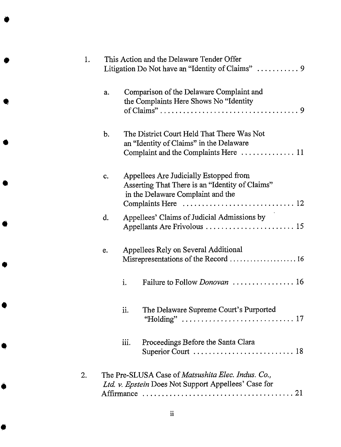| 1. |    | This Action and the Delaware Tender Offer<br>Litigation Do Not have an "Identity of Claims"  9                                        |
|----|----|---------------------------------------------------------------------------------------------------------------------------------------|
|    | a. | Comparison of the Delaware Complaint and<br>the Complaints Here Shows No "Identity"                                                   |
|    | b. | The District Court Held That There Was Not<br>an "Identity of Claims" in the Delaware<br>Complaint and the Complaints Here  11        |
|    | c. | Appellees Are Judicially Estopped from<br>Asserting That There is an "Identity of Claims"<br>in the Delaware Complaint and the        |
|    | d. | Appellees' Claims of Judicial Admissions by<br>Appellants Are Frivolous  15                                                           |
|    | e. | Appellees Rely on Several Additional<br>Misrepresentations of the Record  16                                                          |
|    |    | Failure to Follow Donovan  16<br>i.                                                                                                   |
|    |    | The Delaware Supreme Court's Purported<br>ii.<br>"Holding" $\ldots \ldots \ldots \ldots \ldots \ldots \ldots \ldots \ldots \ldots 17$ |
|    |    | iii.<br>Proceedings Before the Santa Clara                                                                                            |
| 2. |    | The Pre-SLUSA Case of <i>Matsushita Elec. Indus. Co.</i> ,<br>Ltd. v. Epstein Does Not Support Appellees' Case for                    |
|    |    |                                                                                                                                       |

ii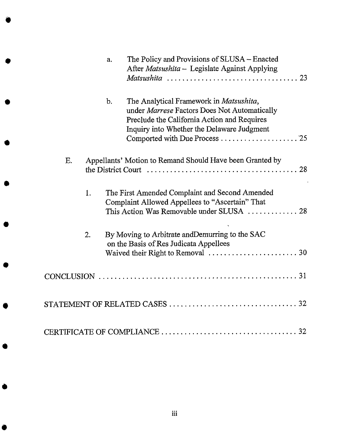|    | a.    | The Policy and Provisions of SLUSA – Enacted<br>After Matsushita - Legislate Against Applying                                                                                                                         |
|----|-------|-----------------------------------------------------------------------------------------------------------------------------------------------------------------------------------------------------------------------|
|    |       |                                                                                                                                                                                                                       |
|    | $b$ . | The Analytical Framework in Matsushita,<br>under Marrese Factors Does Not Automatically<br>Preclude the California Action and Requires<br>Inquiry into Whether the Delaware Judgment<br>Comported with Due Process 25 |
| Ε. |       | Appellants' Motion to Remand Should Have been Granted by                                                                                                                                                              |
| 1. |       | The First Amended Complaint and Second Amended<br>Complaint Allowed Appellees to "Ascertain" That<br>This Action Was Removable under SLUSA  28                                                                        |
| 2. |       | By Moving to Arbitrate and Demurring to the SAC<br>on the Basis of Res Judicata Appellees                                                                                                                             |
|    |       |                                                                                                                                                                                                                       |
|    |       |                                                                                                                                                                                                                       |
|    |       |                                                                                                                                                                                                                       |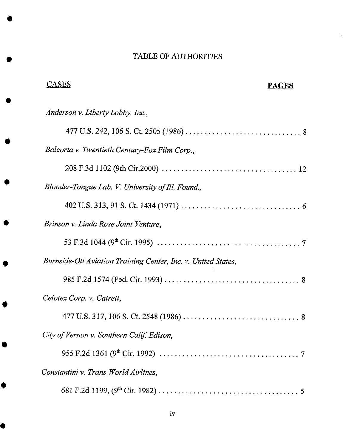# TABLE OF AUTHORITIES

 $\ddot{\bullet}$ 

| <u>CASES</u><br><b>PAGES</b>                                  |  |
|---------------------------------------------------------------|--|
| Anderson v. Liberty Lobby, Inc.,                              |  |
|                                                               |  |
| Balcorta v. Twentieth Century-Fox Film Corp.,                 |  |
|                                                               |  |
| Blonder-Tongue Lab. V. University of Ill. Found.,             |  |
|                                                               |  |
| Brinson v. Linda Rose Joint Venture,                          |  |
|                                                               |  |
| Burnside-Ott Aviation Training Center, Inc. v. United States, |  |
|                                                               |  |
| Celotex Corp. v. Catrett,                                     |  |
|                                                               |  |
| City of Vernon v. Southern Calif. Edison,                     |  |
|                                                               |  |
| Constantini v. Trans World Airlines,                          |  |
|                                                               |  |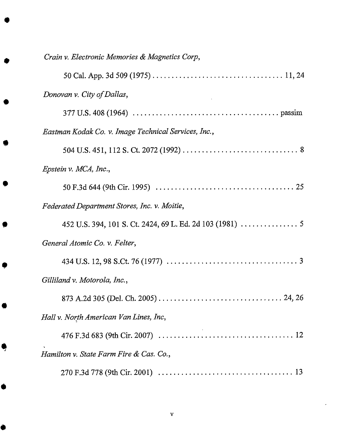| Crain v. Electronic Memories & Magnetics Corp,       |
|------------------------------------------------------|
|                                                      |
| Donovan v. City of Dallas,                           |
|                                                      |
| Eastman Kodak Co. v. Image Technical Services, Inc., |
|                                                      |
| Epstein v. MCA, Inc.,                                |
|                                                      |
| Federated Department Stores, Inc. v. Moitie,         |
|                                                      |
| General Atomic Co. v. Felter,                        |
|                                                      |
| Gilliland v. Motorola, Inc.,                         |
|                                                      |
| Hall v. North American Van Lines, Inc,               |
|                                                      |
| Hamilton v. State Farm Fire & Cas. Co.,              |
|                                                      |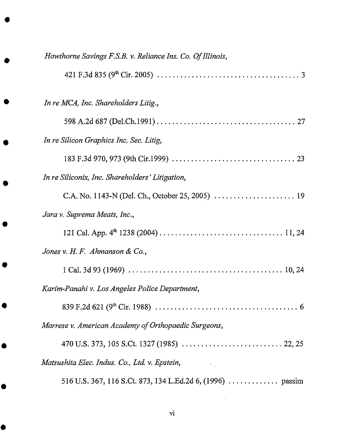| Hawthorne Savings F.S.B. v. Reliance Ins. Co. Of Illinois, |
|------------------------------------------------------------|
|                                                            |
| In re MCA, Inc. Shareholders Litig.,                       |
|                                                            |
| In re Silicon Graphics Inc. Sec. Litig,                    |
|                                                            |
| In re Siliconix, Inc. Shareholders' Litigation,            |
|                                                            |
| Jara v. Suprema Meats, Inc.,                               |
|                                                            |
| Jones v. H. F. Ahmanson & Co.,                             |
|                                                            |
| Karim-Panahi v. Los Angeles Police Department,             |
|                                                            |
| Marrese v. American Academy of Orthopaedic Surgeons,       |
|                                                            |
| Matsushita Elec. Indus. Co., Ltd. v. Epstein,              |
|                                                            |

 $\sim 400$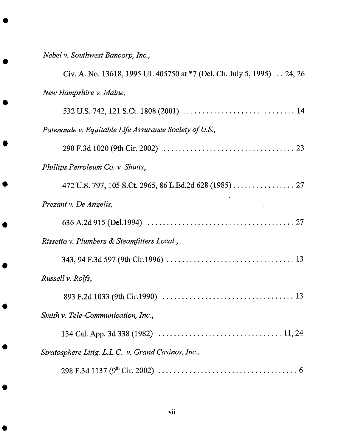*Nebel v. Southwest Bancorp, Inc.,*

| Civ. A. No. 13618, 1995 UL 405750 at *7 (Del. Ch. July 5, 1995)  24, 26 |
|-------------------------------------------------------------------------|
| New Hampshire v. Maine,                                                 |
|                                                                         |
| Patenaude v. Equitable Life Assurance Society of U.S.,                  |
|                                                                         |
| Phillips Petroleum Co. v. Shutts,                                       |
| 472 U.S. 797, 105 S.Ct. 2965, 86 L.Ed.2d 628 (1985) 27                  |
| Prezant v. De Angelis,                                                  |
|                                                                         |
| Rissetto v. Plumbers & Steamfitters Local,                              |
|                                                                         |
| Russell v. Rolfs,                                                       |
|                                                                         |
| Smith v. Tele-Communication, Inc.,                                      |
|                                                                         |
| Stratosphere Litig. L.L.C. v. Grand Casinos, Inc.,                      |
|                                                                         |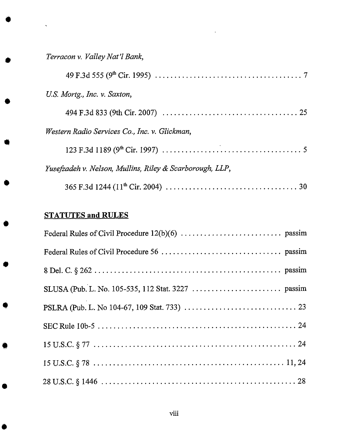*Terraeon v. Valley Nat'l Bank,*

 $\ddot{\bullet}$ 

| U.S. Mortg., Inc. v. Saxton,                             |
|----------------------------------------------------------|
|                                                          |
| Western Radio Services Co., Inc. v. Glickman,            |
|                                                          |
| Yusefzadeh v. Nelson, Mullins, Riley & Scarborough, LLP, |
|                                                          |

# STATUTES and RULES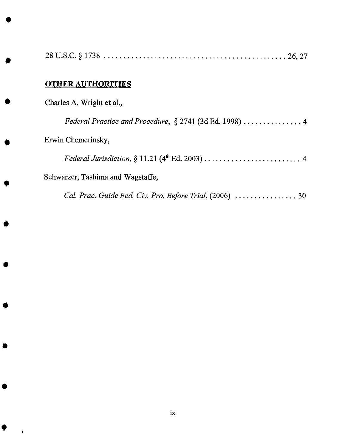| <b>OTHER AUTHORITIES</b>          |
|-----------------------------------|
| Charles A. Wright et al.,         |
|                                   |
| Erwin Chemerinsky,                |
|                                   |
| Schwarzer, Tashima and Wagstaffe, |
|                                   |

g

B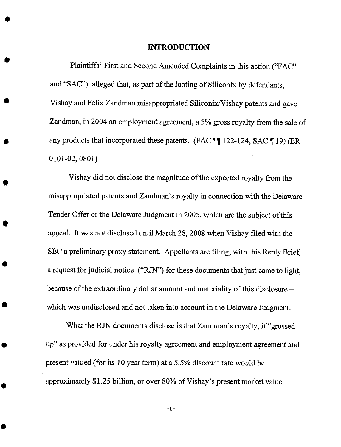#### INTRODUCTION

Plaintiffs' First and Second Amended Complaints in this action ("FAC" and "SAC") alleged that, as part of the looting of Siliconix by defendants, Vishay and Felix *Zandman* misappropriated Siliconix/Vishay patents and gave Zandman, in 2004 an employment agreement, a 5% gross royalty from the sale of any products that incorporated these patents. (FAC ¶¶ 122-124, SAC ¶ 19) (ER 0101-02, 0801)

Vishay did not disclose the magnitude of the expected royalty from the misappropriated patents and Zandman's royalty in connection with the Delaware Tender *Offer* or the Delaware Judgment in 2005, which are the subject of this appeal. It was *not* disclosed until *March* 28, 2008 when Vishay filed with the SEC a preliminary proxy statement. Appellants are filing, with this Reply Brief, a request for judicial notice ("RJN") for these documents that just came to light, because of the extraordinary dollar amount and materiality of this disclosure which was undisclosed and not taken into account in the Delaware Judgment.

What the RJN documents disclose is that Zandman's royalty, if "grossed up" as provided for under his royalty agreement and employment agreement and present valued (for its 10 year *term)* at a 5.5% discount rate would be approximately \$1.25 billion, or over 80% of Vishay's present market value

-1-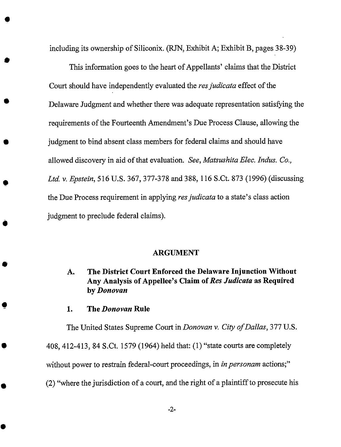including its **ownership** of Siliconix. (RJN, Exhibit A; Exhibit B, pages 38-39)

This information goes to the heart of Appellants' claims that the District Court should have independently evaluated the *resjudicata* effect of the Delaware Judgment and whether there was adequate representation satisfying the requirements of the Fourteenth *Amendment's* Due Process Clause, allowing the judgment to bind absent class members for federal claims and should have allowed discovery in aid of that evaluation. *See, Matsushita Elec. Indus. Co., Ltd. v. Epstein,* 516 U.S. 367, 377-378 and 388, 116 S.Ct. 873 (1996) (discussing the Due Process requirement in applying *resjudicata* to a state's class action judgment to preclude federal claims).

#### **ARGUMENT**

## **A. The District Court Enforced the Delaware Injunction Without Any Analysis of Appellee's Claim of** *Res Judicata* **as Required by** *Donovan*

**1. The** *Donovan* **Rule**

The United States Supreme Court in *Donovan v. City of Dallas,* 377 U.S.

408, 412-413, 84 S.Ct. 1579 (1964) held that: (1) "state courts are completely

without power to restrain federal-court proceedings, in *in personam* actions;"

(2) "where *the* jurisdiction of a court, and the right of a plaintiff to prosecute his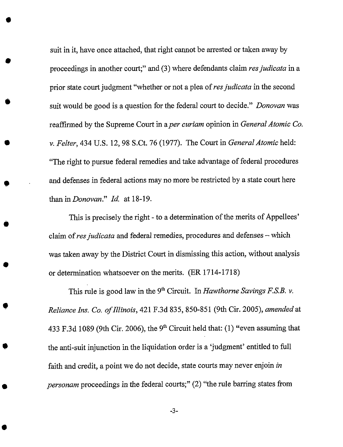suit in it, have once attached, that right cannot be arrested or taken away by proceedings in another court;" and (3) where defendants claim *resjudicata* in a prior state court judgment "whether or not a plea of res judicata in the second suit would be good is a question for the federal court to decide." *Donovan* was reaffirmed by the Supreme Court in a *per curiam* opinion in *General Atomic Co. v. Felter,* 434 U.S. 12, 98 S.Ct. 76 (1977). The Court in *General Atomic* held: "The fight to pursue federal remedies and take advantage of federal procedures and defenses in federal actions may no more be restricted by a state court here than inDonovan." *Id.* at 18-19.

This is precisely the right - to a determination of the merits of Appellees' claim of res judicata and federal remedies, procedures and defenses - which was taken away by the District Court in dismissing this action, without analysis or determination whatsoever on the merits. (ER 1714-1718)

This rule is good law in the 9<sup>th</sup> Circuit. In *Hawthorne Savings F.S.B. v. Reliance Ins. Co. of Illinois,* 421 F.3d 835, 850-851 (9th Cir. 2005), *amended* at 433 F.3d 1089 (9th Cir. 2006), the 9<sup>th</sup> Circuit held that: (1) "even assuming that the anti-suit injunction in the liquidation order is a 'judgment' entitled to full faith and credit, a point we do not decide, state courts may never enjoin *in personam* proceedings in the federal courts;" (2) "the rule barring states from

-3-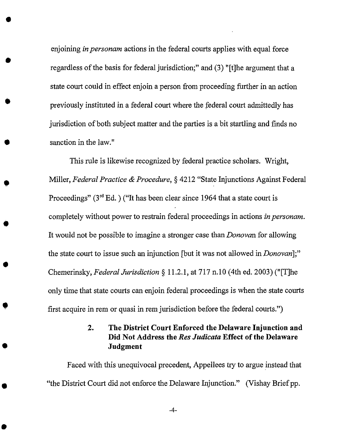enjoining *in personam* actions in the federal courts applies with equal force regardless of the basis for federal jurisdiction;" and (3) "[t]he argument that a state court could in effect enjoin a person from proceeding further in an action previously instituted in a federal court where the federal court admittedly has jurisdiction of both subject matter and the parties is a bit startling and finds no sanction in the law."

This rule is likewise recognized by federal practice scholars. Wright, Miller, *Federal Practice & Procedure,* § 4212 "State Injunctions Against Federal Proceedings" ( $3<sup>rd</sup> Ed.$  ) ("It has been clear since 1964 that a state court is completely without power to restrain federal proceedings in actions *in personam.* It would not be possible to imagine a stronger case than *Donovan* for allowing the state court to issue such an injunction [but it was not allowed in *Donovan];"* Chemerinsky, *Federal Jurisdiction* § 11.2.1, at 717 n.10 (4th ed. 2003) ("[T]he only time that state courts can enjoin federal proceedings is when the state courts first acquire in rem or quasi in rem jurisdiction before the federal courts.")

## 2. The District Court Enforced the Delaware Injunction and Did Not Address the *Res* Judicata Effect of the Delaware Judgment

Faced with this unequivocal precedent, Appellees try to argue instead that "the *District* Court did not enforce the Delaware Injunction." (Vishay Brief pp.

-4-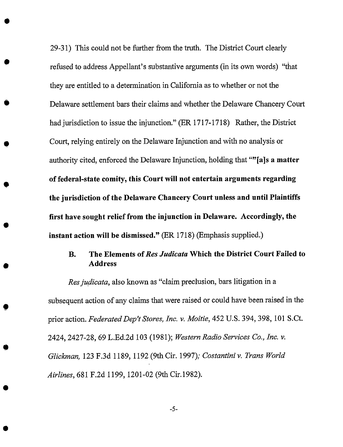29-31) This could not be further from the truth. The District Court clearly refused to address Appellant's substantive arguments (in its own words) "that they are entitled to a determination in California as to whether or not the Delaware settlement bars their claims and whether the Delaware Chancery Court had jurisdiction to issue the injunction." (ER 1717-1718) Rather, the District Court, relying entirely on the Delaware Injunction and with no analysis or authority cited, enforced the Delaware Injunction, holding that ""[a]s a matter **of federal-state comity, this** Court **will not entertain arguments regarding the jurisdiction of the Delaware Chancery Court unless and until Plaintiffs first have sought relief from the injunction in Delaware. Accordingly, the instant action will be dismissed." (ER** 1718) **(Emphasis** supplied.)

### **B.** The Elements of Res Judicata Which the District Court Failed to **Address**

*Res judicata*, also known as "claim preclusion, bars litigation in a subsequent action of any claims that were raised or could have been raised in the prior action. *FederatedDep't Stores, Inc. v. Moitie,* 452 U.S. 394, 398, 101 S.Ct. 2424, 2427-28, 69 L.Ed.2d 103 (1981); *Western Radio Services Co., Inc. v. Glickman,* 123 F.3d 1189, 1192 (9th Cir. 1997); *Costantini v. Tram WorM Airlines,* 681 F.2d 1199, 1201-02 (9th Cir.1982).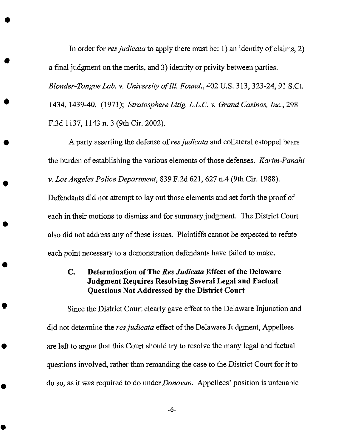In **order** for *resjudicata* to apply there must be: 1) an identity **of** claims, 2) a final judgment on the merits, and 3) identity or privity between parties. *Blonder-Tongue Lab. v. University of Ill. Found.,* 402 U.S. 313,323-24, *91* S.Ct. 1434, 1439-40, (1971); *Stratosphere Litig. L.L.C. v. Grand Casinos, Inc.,* 298 F.3d 1137, 1143 n. 3 (9th Cir. 2002).

A party asserting the defense of res judicata and collateral estoppel bears the burden of establishing the various elements of those defenses. *Karim-Panahi v. Los Angeles Police Department,* 839 F.2d 621,627 n.4 (9th Cir. 1988).

Defendants did not attempt to lay out those elements and set forth the proof of each in their motions to dismiss and for summary judgment. The District Court also did not address any of these issues. Plaintiffs cannot be expected to refute each point necessary to a demonstration defendants have failed to make.

## C. Determination of The *Res Judicata* Effect of the Delaware Judgment Requires Resolving Several Legal and Factual Questions Not Addressed by the District Court

Since the District Court clearly gave effect to the Delaware Injunction and did not determine the *resjudicata* effect of the Delaware Judgment, *Appellees* are left to argue that this Court should try to resolve the many legal and factual questions involved, rather than remanding the case to the *District* Court for it to do so, as it was required to do under *Donovan. Appellees'* position is untenable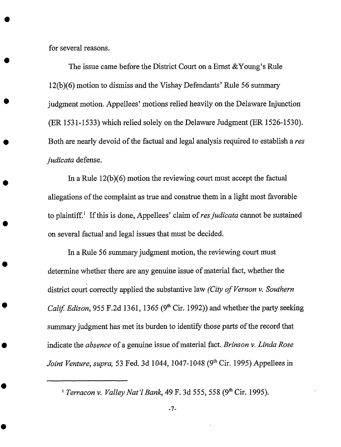for several reasons.

The issue came before the District Court on a Ernst &Young's Rule I2(b)(6) motion to dismiss and the Vishay Defendants' Rule 56 summary judgment motion. Appellees' motions relied heavily on the Delaware Injunction (ER 1531-1533) which relied solely on the Delaware Judgment (ER 1526-1530). Both are nearly devoid of the factual and legal analysis required to establish a res *judicata* defense.

In a Rule 12(b)(6) motion the reviewing court must accept the factual allegations of the complaint as true and construe them in a light most favorable to plaintiff.<sup>1</sup> If this is done, Appellees' claim of res judicata cannot be sustained on several factual and legal issues that must be decided.

In a Rule 56 summary judgment motion, the reviewing court must determine whether there are any genuine issue of material fact, whether the district court correctly applied the substantive law *(City of Vernon v. Southern Calif. Edison,* 955 F.2d 1361, 1365 (9<sup>th</sup> Cir. 1992)) and whether the party seeking summary judgment has met its burden to identify those parts of the record that indicate the *absence* of a genuine issue of material fact. *Brinson v. Linda Rose Joint Venture, supra,* 53 Fed. 3d 1044, 1047-1048 (9<sup>th</sup> Cir. 1995) Appellees in

*<sup>&</sup>lt;sup>1</sup> Terracon v. Valley Nat'l Bank*, 49 F. 3d 555, 558 (9<sup>th</sup> Cir. 1995).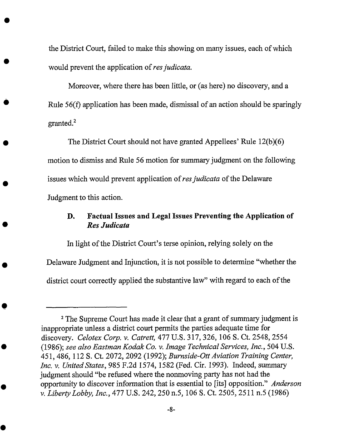the District Court, failed to make this showing on many issues, each of which would prevent the application of *res judicata*.

Moreover, where there has been little, or (as here) no discovery, and a Rule 56(f) application has been made, dismissal of an action should be sparingly granted. $^{2}$ 

The District Court should not have granted Appellees' Rule 12(b)(6) motion to dismiss and Rule 56 motion for summary judgment on the following issues which would prevent application of *res judicata* of the Delaware Judgment to this action.

### **D. Factual** Issues **and Legal Issues Preventing** the **Application of** *Res Judicata*

In light of the District Court's terse opinion, relying solely on the Delaware Judgment and Injunction, it is not possible to determine "whether the district court correctly applied the substantive law" with regard to each of the

<sup>2</sup>The Supreme Court has made it clear that **a** grant **of** summary judgment is inappropriate unless a district court permits the parties adequate time for discovery. *Celotex Corp. v. Catrett,* 477 U.S. 317, 326, 106 S. Ct. 2548, 2554 (1986); *see also Eastman Kodak Co. v. Image Technical Services, Inc.,* 504 U.S. 451,486, 112 S. Ct. 2072, 2092 (1992); *Burnside-OttAviation Training Center, Inc. v. United States, 985* F.2d 1574, 1582 (Fed. Cir. 1993). Indeed, summary judgment should "be refused where the nonmoving party has not had the *opportunity* to discover information that is essential to [its] opposition." *Anderson v. Liberty Lobby, Inc.,* 477 U.S. 242, 250 n.5, 106 S. Ct. 2505, 2511 n.5 (1986)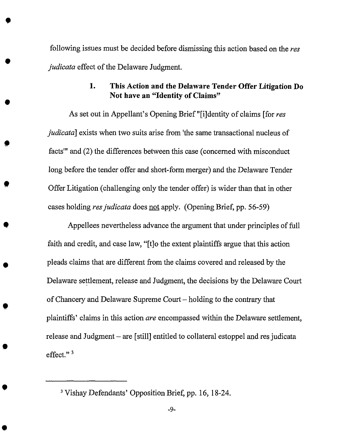following issues must be decided before dismissing this action based **on** the *fez judicata* effect of the Delaware Judgment.

**t**

## 1. This Action and the Delaware Tender Offer Litigation Do Not have an "Identity of Claims"

As set out in Appellant's *Opening* Brief "[i]dentity of claims [for *res judicata*] exists when two suits arise from 'the same transactional nucleus of facts'" and (2) the differences between this case (concerned with misconduct long before the tender offer and short-form merger) and the *Delaware Tender Offer* Litigation (challenging only the tender offer) is wider than that in other eases holding *resjudicata* does not apply. (Opening Brief, pp. 56-59)

Appellees nevertheless advance the argument that under principles of full faith and credit, and case law, "[t]o the extent plaintiffs argue that this action pleads claims that are different from the claims covered and released by the Delaware settlement, release and Judgment, the decisions by the Delaware Court of Chancery and *Delaware* Supreme Court - holding to the contrary that plaintiffs' claims in this action *are* encompassed within the Delaware settlement, release and Judgment - are [still] entitled to collateral estoppel and res judicata effect."<sup>3</sup>

<sup>&</sup>lt;sup>3</sup> Vishay Defendants' Opposition Brief, pp. 16, 18-24.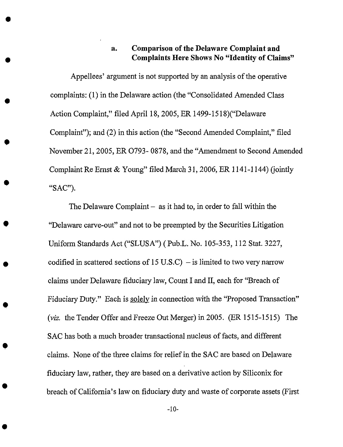#### **a. Comparison of the Delaware Complaint and Complaints Here Shows No** "Identity **of Claims"**

**Appellees' argument is not** supported by **an analysis of the operative** complaints: (1) **in the Delaware action** (the "Consolidated **Amended Class Action** Complaint," **filed April** 18, 2005, **ER 1499-1518)("Delaware Complaint");** and (2) **in this action** (the "Second Amended Complaint," **filed November** 21, 2005, ER **0793- 0878, and the** "Amendment **to Second Amended** Complaint Re Ernst & Young" filed March 31, 2006, ER 1141-1144) *(jointly* "SAC").

O

The Delaware Complaint - as it had to, in order to fall within the "Delaware carve-out" and not to be preempted by the Securities Litigation Uniform Standards Act ("SLUSA") ( Pub.L. No. 105-353, 112 Stat. 3227, codified in scattered sections **of** 15 U.S.C) - is limited to two very narrow claims under Delaware fiduciary law, Count I and II, each for "Breach **of** Fiduciary Duty." Each is solely in connection with the "Proposed Transaction" (viz. the Tender *Offer* and Freeze Out Merger) in 2005. (ER 1515-1515) The SAC has both a much broader transactional nucleus of facts, and different claims. None of the three claims for relief in the SAC are based on Delaware fiduciary law, rather, they are based on a derivative action by Siliconix for breach of California's law on fiduciary duty and waste of corporate assets (First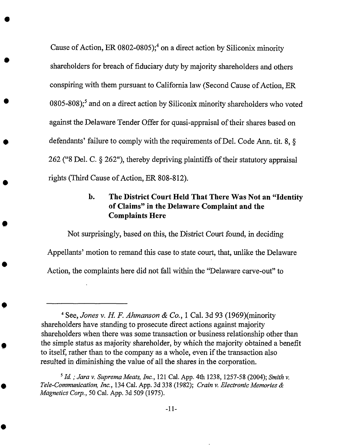Cause of Action, ER 0802-0805);<sup>4</sup> on a direct action by Siliconix minority shareholders for breach of fiduciary duty by majority shareholders and others conspiring with them pursuant to California law (Second Cause of *Action,* ER 0805-808);<sup>5</sup> and on a direct action by Siliconix minority shareholders who voted against the Delaware Tender *Offer* for quasi-appraisal of their shares based on defendants' failure to comply with the requirements of Del. Code *Ann.* tit. 8, § 262 ("8 Del. C. § 262"), thereby depriving plaintiffs of their statutory appraisal rights (Third Cause of Action, ER 808-812).

## **b. The District Court Held That There** Was **Not an** "Identity **of Claims" in the Delaware Complaint and the Complaints Here**

Not surprisingly, based on **this, the** *District* Court found, in deciding Appellants' motion to remand this ease to state court, that, unlike the Delaware Action, the complaints here did not fall within **the** "Delaware carve-out" to

<sup>4</sup> See, *Jones v. H. F. Ahmanson & Co.,* 1 Cal. 3d 93 (1969)(minority shareholders have standing to prosecute direct actions against majority shareholders when there was some transaction or business relationship other than the simple status as majority shareholder, by which the majority obtained a benefit to itself, rather than to the company as a whole, even if the transaction also resulted in diminishing the value of all the shares in the corporation.

<sup>5</sup>*Id. ; Jara v. Suprema Meats, Inc.,* 121 Cal. **App.** 4th 1238, 1257-58 (2004); *Smith v. Tele-Communication, Inc.,* 134 Cal. *App.* 3d 338 (1982); *Crain v. Electronic Memories & Magnetics* Corp., 50 Cal. App. 3d 509 (1975).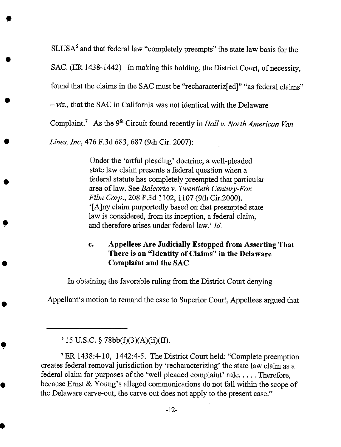$SLUSA<sup>6</sup>$  and that federal law "completely preempts" the state law basis for the

SAC. (ER 1438-1442) In making this holding, the District Court, of necessity,

found that the claims in the SAC must be "recharacteriz[ed]" "as federal claims"

- *viz.,* that the SAC in California was not identical with the Delaware

Complaint.<sup>7</sup> As the 9<sup>th</sup> Circuit found recently in *Hall v. North American Van* 

*Lines, Inc,* 476 F.3d 683, 687 (9th Cir. 2007):

 $\bullet$ 

Under the 'artful pleading' doctrine, a well-pleaded state law claim presents a federal question when a federal statute has completely preempted that particular area of law. See *Balcorta v. Twentieth Century-Fox Film Corp.,* 208 F.3d 1102, 1107 (9th Cir.2000). '[A]ny claim purportedly based on **that** preempted state law is considered, from its inception, a federal claim, and therefore arises under federal law.' *ld.*

## Cu **Appellees Are Judicially** Estopped **from** Asserting That **There is an** "Identity **of Claims" in the** *Delaware* **Complaint and the SAC**

In obtaining the favorable ruling from the District Court denying

*Appellant's* motion to remand the case to Superior Court, Appellees argued that

 $615$  U.S.C. § 78bb(f)(3)(A)(ii)(II).

<sup>7</sup>ER 1438:4-10, 1442:4-5. The District Court held: "Complete preemption creates federal removal jurisdiction by 'recharacterizing' the state law claim as a federal claim for purposes of the 'well pleaded complaint' rule. . . . . Therefore, because Ernst & Young's alleged communications do not fall within the scope of the Delaware carve-out, the carve out does not apply to the present case."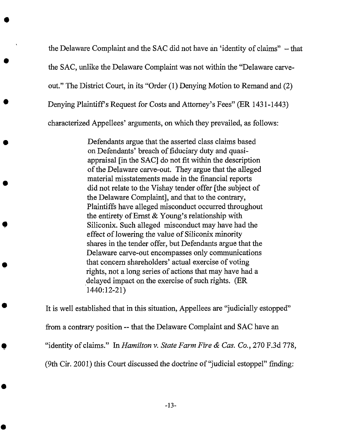the Delaware Complaint and the SAC did not have an 'identity of claims" - that the SAC, unlike the Delaware Complaint was not within the "Delaware carveout." The District Court, in its "Order (1) Denying Motion to Remand and (2) Denying Plaintiff's Request for Costs and *Attorney's* Fees" (ER 1431-1443) characterized Appellees' arguments, on which they prevailed, as follows:

> Defendants argue that the asserted class claims based on Defendants' breach of fiduciary duty and quasiappraisal [in the SAC] do not fit within the description of the Delaware carve-out. They argue that the alleged material misstatements made in the financial reports did not relate to the Vishay tender offer [the subject of the Delaware Complaint], and that to the contrary, Plaintiffs have alleged misconduct occurred throughout the entirety of Ernst & Young's relationship with Siliconix. Such alleged misconduct may have had the effect of lowering *the* value of Siliconix minority shares in the tender offer, but Defendants argue that the Delaware carve-out encompasses only communications that concern shareholders' actual exercise of voting rights, not a long series of actions that may have had a delayed impact on the exercise of such rights. (ER 1440:12-21)

It is well established that in this situation, Appellees are "judicially estopped" from a contrary position -- that the Delaware Complaint and SAC have an "identity of claims." In *Hamilton v. State Farm Fire & Cas. Co.,* 270 F.3d 778, (9th Cir. 2001) this Court discussed the doctrine of"judicial estoppel" finding: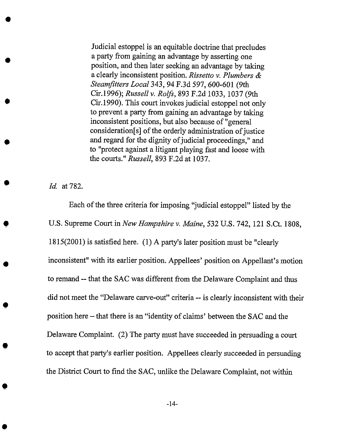Judicial estoppel is an equitable doctrine that precludes a party from gaining an advantage by asserting one position, and then later seeking an advantage by taking a clearly inconsistent position. *Rissetto v. Plumbers & Steamfitters Local* 343, *94* F.3d 597, 600-601 (9th Cir.1996); *Russell v. Rolls,* 893 F.2d 1033, 1037 (gth Cir. 1990). This court invokes judicial estoppel not only to prevent a party from gaining an advantage by taking inconsistent positions, but also because of "general consideration[s] of the orderly administration of justice and regard for the dignity of judicial proceedings," and to "protect against a litigant playing fast and loose with the courts." *Russell,* 893 F.2d at 1037.

*Id.* at 782.

Each of the three criteria for imposing "judicial estoppel" listed by the U.S. Supreme Court in *New Hampshire v. Maine*, 532 U.S. 742, 121 S.Ct. 1808, 1815(2001) is satisfied here. (1) A party's later position must be "clearly inconsistent" with its earlier position. Appellees' position on Appellant's motion to remand -- that the SAC was different from the Delaware Complaint and thus did *not* meet the "Delaware carve-out" criteria -- is clearly inconsistent with their position here - that there is an "identity of claims' between the SAC and the Delaware Complaint. (2) The party must have succeeded in persuading a court to accept that party's earlier position. Appellees clearly succeeded in persuading the District Court to find the SAC, unlike the Delaware Complaint, not within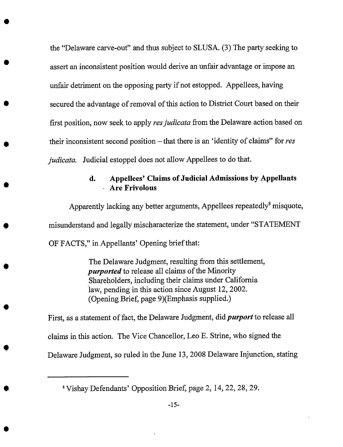the "Delaware carve-out" and thus subject to SLUSA. (3) The party seeking to assert an inconsistent position would derive an unfair advantage or impose an unfair detriment on the opposing party if not estopped. *Appellees,* having secured the advantage of removal of this action to District Court based on their first position, now seek to apply *resjudicata* from the Delaware action based on their inconsistent second position - that there is an 'identity of claims" for *res judicata.* Judicial estoppel does not allow *Appellees* to do that.

## **d. Appellees' Claims of Judicial Admissions by Appellants Are Frivolous**

Apparently lacking any better arguments, Appellees repeatedly<sup>8</sup> misquote, misunderstand and legally mischaracterize the statement, under "STATEMENT *OF* FACTS," in Appellants' *Opening* brief that:

> The Delaware Judgment, resulting from this settlement, *purported* to release all claims of the Minority Shareholders, including their claims under California law, pending in this action since August 12, 2002. (Opening Brief, page 9)(Emphasis supplied.)

First, as a statement of fact, the Delaware Judgment, did *purport* to release all claims in this action. The Vice Chancellor, Leo E. Strine, who signed the Delaware Judgment, so ruled in the June 13, 2008 Delaware Injunction, stating

<sup>8</sup>Vishay Defendants' Opposition Brief, page 2, 14, 22, 28, 29.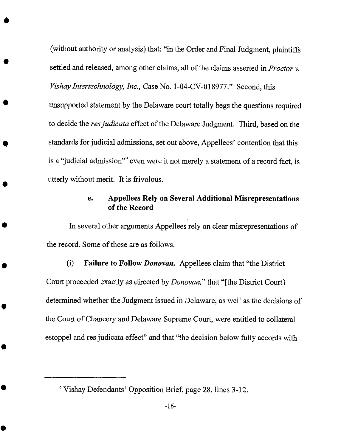(without authority or analysis) that: "in the Order and Final Judgment, plaintiffs settled and released, among other claims, all of the claims asserted in *Proctor v. VishayIntertechnology, Inc.,* Case No. 1-04-CV-018977." Second, this unsupported statement by the Delaware court totally begs the questions required to decide the *resjudicata* effect of the Delaware Judgment. Third, based on the standards for judicial admissions, set out above, Appellees' contention that this is a "judicial admission"<sup>9</sup> even were it not merely a statement of a record fact, is utterly without merit. It is frivolous.

### **e. Appellees Rely on Several Additional Misrepresentations of the Record**

In several other arguments **Appellees** rely on clear misrepresentations of the record. Some of these are as follows.

(i) Failure *to* Follow *Donovan.* Appellees claim that "the District Court proceeded exactly as directed by *Donovan,"* that "[the District Court} determined whether the Judgment issued in Delaware, as well as the decisions of the Court of Chancery and Delaware Supreme Court, were entitled to collateral estoppel and res judicata effect" and that "the decision below fully accords with

<sup>9</sup>Vishay Defendants' Opposition Brief, page 28, lines 3-12.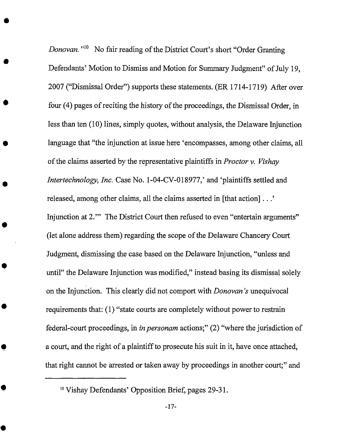*Donovan.* "<sup>10</sup> No fair reading of the District Court's short "Order Granting Defendants' Motion to Dismiss and Motion for Summary Judgment" of July 19, 2007 ("Dismissal Order") supports these statements. (ER 1714-1719) After over four (4) pages of reciting the history of the proceedings, the *Dismissal* Order, in less than ten (10) lines, simply quotes, without analysis, the Delaware Injunction language that "the injunction at issue here 'encompasses, among other claims, all of the claims asserted by the representative plaintiffs in *Proctor v. Vishay Intertechnology, lnc.* Case No. 1-04-CV-018977,' and 'plaintiffs settled and released, among other claims, all the claims asserted in [that action]...' Injunction at 2.'" The District Court then refused to even "entertain arguments" (let alone address them) regarding the scope of the *Delaware* Chancery Court Judgment, dismissing the case based on the Delaware Injunction, "unless and until" the Delaware Injunction was modified," instead basing its dismissal solely on the Injunction. This clearly did not comport with *Donovan's* unequivocal requirements that: (1) "state courts are completely without power to restrain federal-court proceedings, in *in personam* actions;" (2) "where the jurisdiction of a court, and the right of a plaintiff to prosecute his suit in it, have once attached, that right cannot be arrested or taken away by proceedings in another court;" and

<sup>&</sup>lt;sup>10</sup> Vishay Defendants' Opposition Brief, pages 29-31.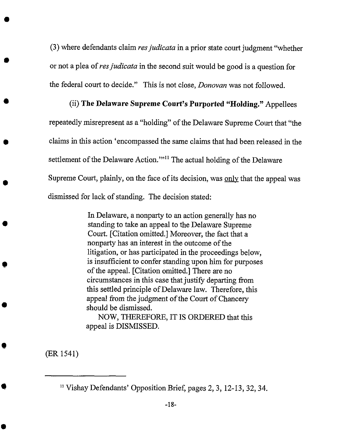(3) where defendants claim *resjudicata* in a prior state court judgment "whether or not a plea of res judicata in the second suit would be good is a question for the federal court to decide." *This* is not close, *Donovan* was not followed.

# (ii) **The Delaware** Supreme **Court's** Purported "Holding." *Appellees*

repeatedly misrepresent as a "holding" of the Delaware Supreme Court that "the claims in this action 'encompassed the same claims that had been released in the settlement of the Delaware Action."<sup>11</sup> The actual holding of the Delaware Supreme Court, plainly, on the face of its decision, was only that the appeal was dismissed for lack of standing. The decision stated:

> In Delaware, a nonparty to an action generally has no standing to take an appeal to the Delaware Supreme Court. [Citation omitted.] Moreover, the fact that a nonparty has an interest in the outcome of the litigation, or has participated in the proceedings below, is insufficient to confer standing upon him for purposes of the appeal. [Citation omitted.] There are no circumstances in this case that justify departing from this settled principle of Delaware law. Therefore, this appeal from the judgment of the Court *of* Chancery should be dismissed.

NOW, THEREFORE, IT IS *ORDERED* that this appeal is DISMISSED.

(ER 1541)

<sup>11</sup>Vishay Defendants' Opposition Brief, pages 2, 3, 12-I3, 32, 34.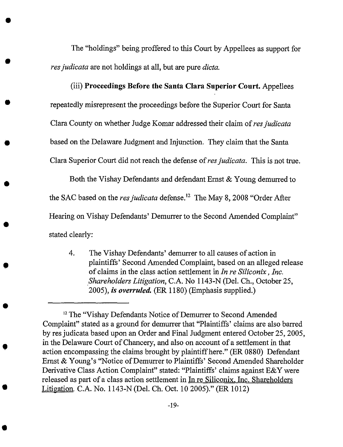The "holdings" being proffered to this Court by Appellees as support for *resjudicata* are not holdings at all, but are pure *dicta.*

O

(iii) **Proceedings Before** the **Santa Clara Superior Court.** Appellees repeatedly misrepresent the proceedings before the Superior Court for Santa Clara County on whether Judge Komar addressed their claim of *resjudicata* based on the Delaware Judgment and Injunction. They claim that the Santa Clara Superior Court did not reach the defense of res judicata. This is not true.

Both the Vishay Defendants and defendant Ernst & Young demurred to the SAC based on the *res judicata* defense.<sup>12</sup> The May 8, 2008 "Order After Hearing on Vishay Defendants' Demurrer to the Second Amended Complaint" stated clearly:

. The Vishay Defendants' demurrer to all causes of action in plaintiffs' Second Amended Complaint, based on an alleged release of claims in the class action settlement in *In* re *Siliconix, Inc.* Shareholders Litigation, C.A. No 1143-N (Del. Ch., October 25, 2005), *is overruled.* (ER 1180) (Emphasis supplied.)

<sup>&</sup>lt;sup>12</sup> The "Vishay Defendants Notice of Demurrer to Second Amended Complaint" stated as a ground for demurrer that "Plaintiffs' claims are also barred by res judicata based upon an *Order* and Final Judgment entered *October* 25, 2005, in the *Delaware* Court of Chancery, and also on account of a settlement in *that* action encompassing the claims brought by plaintiffhere." (ER 0880) Defendant Ernst & Young's "Notice of Demurrer to Plaintiffs' Second Amended Shareholder Derivative Class *Action* Complaint" stated: "Plaintiffs' claims against E&Y were released as part of a class action settlement in In re Siliconix, Inc. Shareholders Litigation. C.A. No. 1143-N (Del. Ch. *Oct.* 10 2005)." (ER 1012)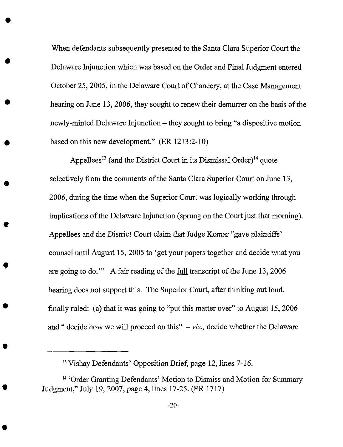When defendants subsequently presented to the Santa Clara Superior Court the Delaware Injunction which was based on the *Order* and Final Judgment entered October 25, 2005, in the Delaware Court of Chancery, at the Case Management hearing on June 13, 2006, they sought to renew their demurrer on the basis of the newly-minted Delaware Injunction – they sought to bring "a dispositive motion based on this new development." (ER 1213:2-10)

Appellees<sup>13</sup> (and the District Court in its Dismissal Order)<sup>14</sup> quote selectively from the comments of the Santa Clara Superior Court on June 13, 2006, during the time when the Superior Court was logically working through implications of the Delaware Injunction (sprung on the Court just that morning). *Appellees* and the *District* Court claim *that* Judge *Komar* "gave plaintiffs' counsel until *August* 15, 2005 to 'get your papers together and decide what you are going to do.'" A fair reading of the full transcript of the June 13, 2006 hearing does not support this. The Superior Court, after thinking out loud, finally ruled: (a) that it was going to "put this matter over" to August 15, 2006 and " decide how we will proceed on this"  $- viz.$ , decide whether the Delaware

<sup>&</sup>lt;sup>13</sup> Vishay Defendants' Opposition Brief, page 12, lines 7-16.

<sup>&</sup>lt;sup>14</sup> 'Order Granting Defendants' Motion to Dismiss and Motion for Summary Judgment," July 19, 2007, page 4, lines 17-25. (ER 1717)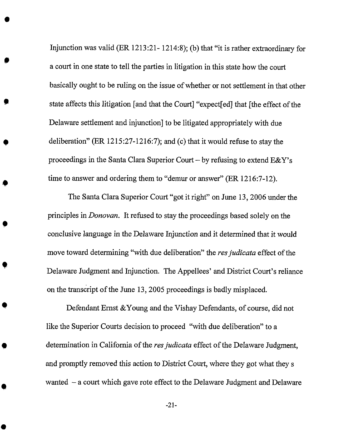Injunction was valid (ER 1213:21- 1214:8); (b) that "it is rather extraordinary for a court in one state to tell the parties in litigation in this state how the court basically ought to be ruling on the issue of whether or not settlement in that other state affects this litigation [and that the Court] "expect[ed] that [the effect of the Delaware settlement and injunction] to be litigated appropriately with due deliberation" (ER 1215:27-1216:7); and (c) that it would refuse to stay the proceedings in the Santa Clara Superior Court – by refusing to extend  $E&Y$ 's time to answer and ordering them to "demur or answer" (ER 1216:7-12).

The Santa Clara Superior Court "got it right" on June 13, 2006 under the principles in *Donovan.* It refused to stay the proceedings based solely on the conclusive language in the *Delaware* Injunction and it determined that it would move toward determining "with due deliberation" the *res judicata* effect of the Delaware Judgment and Injunction. The Appellees' and District Court's reliance on the transcript of the June 13, 2005 proceedings is badly misplaced.

Defendant Ernst &Young and the Vishay Defendants, of course, did not like the Superior Courts decision to proceed "with due deliberation" to a determination in California of the *res judicata* effect of the Delaware Judgment, and promptly removed this action to *District* Court, where they got what they s wanted  $-$  a court which gave rote effect to the Delaware Judgment and Delaware

-21-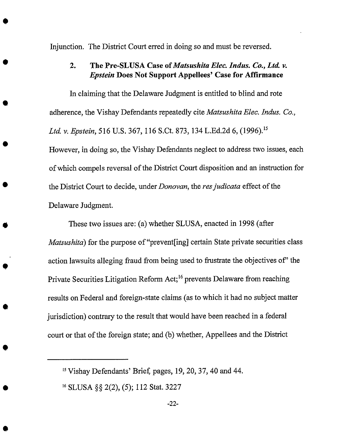Injunction. The District Court erred in doing so and must be reversed

#### 2. The Pre-SLUSA *Case* of *Matsushita Elec. Indus. Co., Ltd. v. Epstein* Does Not Support Appellees' Case for Affirmanee

In claiming **that the** Delaware Judgment is entitled **to** blind and rote adherence, **the** Vishay Defendants repeatedly cite *Matsushita Elee. Indus. Co., Ltd. v. Epstein,* 516 U.S. 367, 116 S.Ct. 873, 134 L.Ed.2d 6, (1996). 15 However, in doing **so, the** Vishay Defendants neglect **to** address **two** issues, each of which compels **reversal** of **the** District Court disposition and an instruction for **the** District Court **to** decide, under *Donovan,* **the** *resjudieata* effect of **the** Delaware Judgment.

These two issues are: (a) whether SLUSA, enacted in 1998 (after *Matsushita*) for the purpose of "prevent<sup>[ing]</sup> certain State private securities class action **lawsuits** alleging fraud from being used **to** frustrate **the** objectives of" **the** Private Securities Litigation Reform Act;<sup>16</sup> prevents Delaware from reaching results on **Federal** and foreign-state claims (as to which it had no **subject** matter jurisdiction) contrary **to the** result **that** would have been reached in a federal court or **that** of **the** foreign **state;** and (b) whether, Appellees and **the** District

<sup>15</sup>Vishay Defendants' Brief, pages, 19, 20, 37, 40 and **44.**

<sup>&</sup>lt;sup>16</sup> SLUSA §§ 2(2), (5); 112 Stat. 3227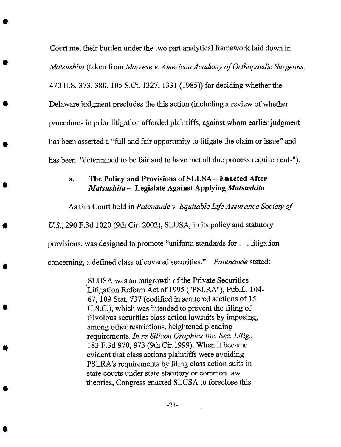Court met their burden under the two part analytical framework laid down in *Matsushita* (taken from *Marrese v. American Academy of Orthopaedic Surgeons,* 470 U.S. 373, 380, 105 S.Ct. 1327, 1331 (1985)) for deciding whether the Delaware judgment precludes the this action (including a review of whether procedures in prior litigation afforded plaintiffs, against whom earlier judgment has been asserted a "full and fair opportunity to litigate the claim or issue" and has been "determined to be fair and to have met all due process requirements").

#### **al The Policy and Provisions of SLUSA** *-* **Enacted After** *Matsushita -* **Legislate Against Applying** *Matsushita*

As this Court held in *Patenaude v. Equitable Life Assurance Society of*

*US.,* 290 F.3d 1020 (9th Cir. 2002), SLUSA, in its policy and statutory

provisions, was designed **to** promote "uniform standards for.., litigation

concerning, a defined class of covered securities." *Patenaude* stated:

SLUSA was an outgrowth of the Private Securities Litigation Reform Act of 1995 ("PSLRA"), Pub.L. 104- 67, 109 Stat. 737 (codified in scattered sections of 15 U.S.C.), which was intended to prevent the filing of frivolous securities class action lawsuits by imposing, among other restrictions, heightened pleading requirements. *In re Silicon Graphics lnc. Sec. Litig.,* 183 F.3d 970, 973 (9th Cir.1999). When it became evident that class actions plaintiffs were avoiding PSLRA's requirements by filing class action suits in state courts under state statutory or common law theories, Congress enacted SLUSA to foreclose this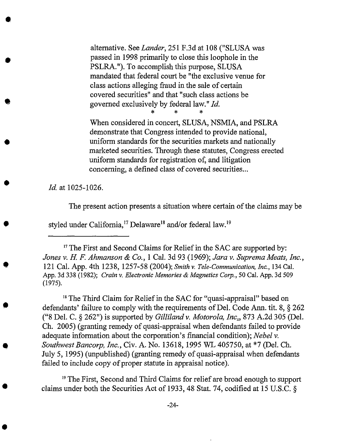altemative. See *Lander,* 251 F.3d at 108 ("SLUSA was passed in 1998 primarily to close this loophole in the PSLRA."). To accomplish this purpose, SLUSA mandated that federal court be "the exclusive venue for class actions alleging fraud in the sale of certain covered securities" and that "such class actions be governed exclusively by federal law."  $Id$ .

When considered in concert, SLUSA, NSMIA, and PSLRA demonstrate that Congress intended to provide national, uniform standards for the securities markets and nationally marketed securities. Through these statutes, Congress erected uniform standards for registration of, and litigation concerning, a defined class of covered securities...

*Id.* at 1025-1026.

O

The present action presents a situation where certain of the claims may be

styled under California,<sup>17</sup> Delaware<sup>18</sup> and/or federal law.<sup>19</sup>

<sup>17</sup>The First and Second Claims for Relief in the SAC are supported by: *Jones v. H. F. Ahmanson & Co.,* 1 Cal. 3d 93 (1969); Jara *v. Suprema Meats, Inc.,* 121 Cal. App. 4th 1238, 1257-58 (2004); *Smith v. Tele-Communication, Inc.,* 134Cal. *App.* 3d 338 (1982); *Crain v. Electronic Memories & Magnetics Corp.,* 50 Cal. App. 3d 509 (1975).

<sup>18</sup> The Third Claim for Relief in the SAC for "quasi-appraisal" based on defendants' failure to comply with the requirements of Del. Code *Ann.* tit. 8, § 262 ("8 Del. C. § 262") is supported by *Gilliland v. Motorola, lnc.\_,* 873 A.2d 305 (Del. Ch. 2005) (granting remedy of quasi-appraisal when defendants failed to provide adequate information about the corporation's financial condition); *Nebel v. SouthwestBancorp, Inc.,* Civ. *A.* No. 13618, I995 WL 405750, at \*7 (Del. Ch. July 5, 1995) (unpublished) (granting remedy of quasi-appraisal when defendants failed to include copy of proper statute in appraisal notice).

<sup>19</sup> The First, Second and Third Claims for relief are broad enough to support claims under both the Securities Act of 1933, 48 Stat. 74, codified at 15 U.S.C. §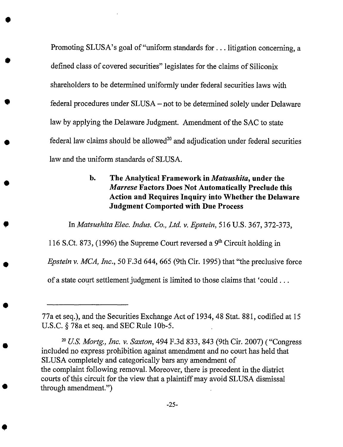Promoting SLUSA's goal of "uniform standards for . . . litigation concerning, a defined class of covered securities" legislates for the claims of Siliconix shareholders to be determined uniformly under federal securities laws with federal procedures under SLUSA - not to be determined solely under Delaware law by applying the Delaware Judgment. Amendment of the SAC to state federal law claims should be allowed<sup>20</sup> and adjudication under federal securities law and the uniform standards of SLUSA.

 $\blacksquare$ 

**hi The Analytical Framework in** *Matsushita,* **under** the *Marrese* **Factors Does Not Automatically Preclude this Action and Requires Inquiry into Whether the Delaware Judgment Comported with Due Process**

In *Matsushita Elec. Indus. Co., Ltd. v. Epstein,* 516 U.S. 367, 372-373,

116 S.Ct. 873, (1996) the Supreme Court reversed a 9<sup>th</sup> Circuit holding in *Epstein v. MCA, Inc.,* 50 F.3d 644, 665 (9th Cir. 1995) that "the preclusive force of a state court settlement judgment is limited to those claims that 'could...

<sup>77</sup>a et seq.), and the Securities Exchange Act of 1934, 48 Stat. 881, codified at 15 U.S.C. § 78a et seq. and SEC Rule 10b-5.

<sup>20</sup>*U.S. Mortg., Inc. v. Saxton,* 494 F.3d 833, 843 (9th Cir. 2007) ( "Congress included no express prohibition against amendment and no court has held that SLUSA completely and categorically bars any amendment of the complaint following removal. Moreover, there is precedent in the district courts of this circuit for the view that a plaintiff may avoid SLUSA dismissal through amendment.")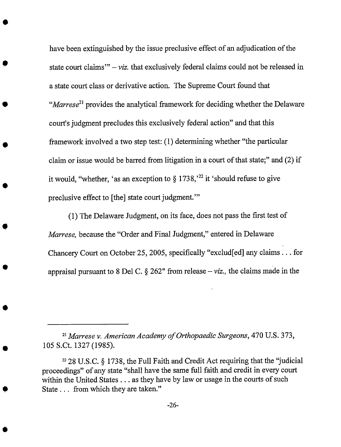have been extinguished by the issue preclusive effect of an adjudication of the state court claims'"  $-viz$ , that exclusively federal claims could not be released in a state court class **or** derivative action. The Supreme Court found that "Marrese<sup>21</sup> provides the analytical framework for deciding whether the Delaware court's judgment precludes this exclusively federal action" and that this framework involved a two step test: (1) determining whether "the particular claim or issue would be barred from litigation in a court of that state;" and (2) if it would, "whether, 'as an exception to  $\S 1738$ ,  $22$  it 'should refuse to give preclusive effect to [the] state court judgment.'"

(1) The Delaware Judgment, on its face, does not pass the first test of *Marrese,* because the "Order and Final Judgment," entered in Delaware Chancery Court on *October* 25, 2005, specifically "exclud[ed] any claims.., for appraisal pursuant to 8 Del C.  $\S 262$ " from release - *viz.*, the claims made in the

51Marrese *v. American Academy of Orthopaedic Surgeons,* 470 U.S. 373, 105 S.Ct. 1327 (1985).

<sup>22</sup> 28 U.S.C. § 1738, the Full Faith and Credit Act requiring that the "judicial proceedings" of any state "shall have the same full faith and credit in every court within the United States... as they have by law or usage in the courts of such State... from which they are taken."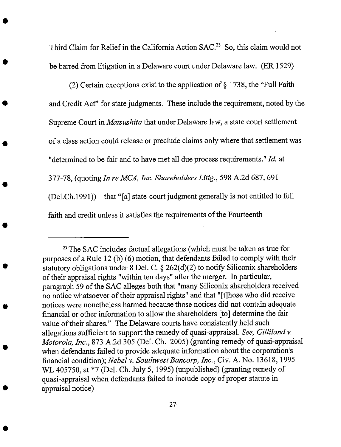Third Claim for Relief in the California Action SAC.<sup>23</sup> So, this claim would not be barred from litigation in a Delaware court under Delaware law. (ER 1529)

(2) Certain exceptions exist to the application **of** § 1738, the "Full Faith and Credit Act" for state judgments. These include the requirement, noted by the Supreme Court in *Matsushita* that under Delaware law, a state court settlement of a class action could release or preclude claims only where that settlement was "determined to be fair and to have met all due process requirements." *Id.* at 377-78, (quoting *In re MCA, Inc. Shareholders Litig.,* 598 A.2d 687, 691  $(Del.Ch. 1991))$  - that "[a] state-court judgment generally is not entitled to full faith and credit unless it satisfies the requirements of the Fourteenth

<sup>&</sup>lt;sup>23</sup> The SAC includes factual allegations (which must be taken as true for purposes of a Rule 12 (b) (6) motion, that defendants failed to comply with their statutory obligations under 8 Del. C. § 262(d)(2) to notify Siliconix shareholders of their appraisal rights "within ten days" after the merger. In particular, paragraph 59 of the SAC alleges both that "many Siliconix shareholders received no notice whatsoever of their appraisal rights" and that "[t]hose who did receive notices were nonetheless harmed because those notices did not contain adequate financial or other information to allow the shareholders [to] determine the fair value of their shares." The Delaware courts have consistently held such allegations sufficient to support the remedy of quasi-appraisal. *See, Gilliland v. Motorola, lnc.,* 873 A.2d 305 (Del. Ch. 2005) (granting remedy of quasi-appraisal when defendants failed to provide adequate information about the corporation's financial condition); *Nebel v. Southwest Bancorp, lnc.,* Cir. A. No. 13618, 1995 WL 405750, at \*7 (Del. Ch. July 5, 1995) (unpublished) (granting remedy of quasi-appraisal when defendants failed to include copy of proper statute in appraisal notice)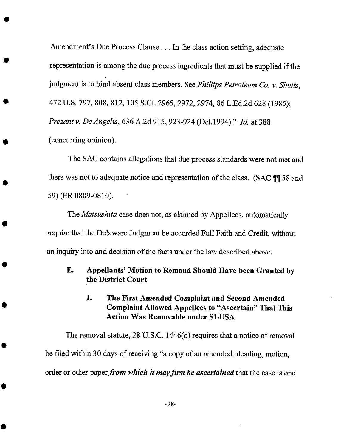*Amendment's* Due Process Clause... In the class action setting, adequate representation is among the due process ingredients that must be supplied if the judgment is to bind absent class members. See *Phillips Petroleum Co. v. Shutts,* 472 U.S. 797, 808, 812, 105 S.Ct. 2965, 2972, 2974, 86 L.Ed.2d 628 (1985); *Prezant v. De Angelis,* 636 *A.2d* 915,923-924 (Del. 1994)." *ld.* at 388 (concurring opinion).

The SAC contains allegations that due process standards were not met and there was not to adequate notice and representation of the class. (SAC ¶¶ 58 and 59) (ER 0809-0810).

The *Matsushita* case does not, as claimed by Appellees, automatically require that *the* Delaware Judgment be accorded Full Faith and Credit, without an inquiry into and decision of the facts under the law described above.

## **E. Appellants' Motion to** Remand **Should Have been Granted by the District Court**

## **1. The First Amended Complaint and Second Amended Complaint Allowed Appellees to** "Ascertain" **That This Action Was Removable under SLUSA**

**The** removal statute, 28 **U.S.C. 1446(b) requires** that **a notice of removal be filed within 30 days of receiving** "a **copy of an amended pleading, motion, order or other paper** *from which it mayfirst be ascertained* that the case **is one**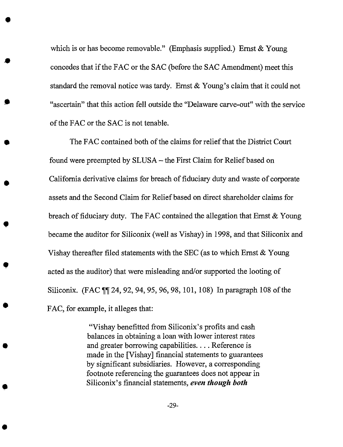which is or has become removable." (Emphasis supplied.) Ernst & Young concedes that if the FAC or the SAC (before the SAC Amendment) meet this standard the removal notice was tardy. Ernst & Young's claim that it could not "ascertain" that this action fell outside the "Delaware carve-out" with the service of the FAC or the SAC is not tenable.

The FAC contained both of the claims for relief that the District Court found were preempted by SLUSA - the First Claim for Relief based on Califomia derivative claims for breach of fiduciary duty and waste of corporate assets and the Second Claim for Relief based on direct shareholder claims for breach of fiduciary duty. The FAC contained the allegation that Ernst & Young became the auditor for Siliconix (well as Vishay) in 1998, and that Siliconix and Vishay thereafter filed statements with the SEC (as to which Ernst  $\&$  Young acted as the auditor) that were misleading and/or supported the looting of Siliconix. (FAC ¶¶ 24, 92, 94, 95, 96, 98, 101,108) In paragraph 108 of the FAC, for example, it alleges that:

> "Vishay benefitted from Siliconix's profits and cash balances in obtaining a loan with lower interest rates and greater borrowing capabilities.... Reference is made in the [Vishay] financial statements to guarantees by significant subsidiaries. However, a corresponding footnote referencing the guarantees does not appear in Siliconix's financial statements, *even though both*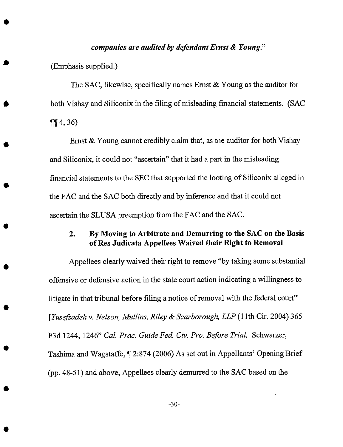#### *companies are audited by defendant Ernst & Young."*

(Emphasis supplied.)

The SAC, likewise, specifically names Ernst & Young as the auditor for both Vishay and Siliconix in the filing of misleading financial statements. (SAC  $\P\P$  4, 36)

Ernst & Young cannot credibly claim that, as the auditor for both Vishay and Siliconix, it could not "ascertain" that it had a part in the misleading financial statements to the SEC that supported the looting of Siliconix alleged in the FAC and the SAC both directly and by inference and that it could not ascertain the SLUSA preemption from the FAC and the SAC.

### 2. *By* Moving to Arbitrate and *Demurring* to the SAC on the *Basis* of Res Judieata Appellees Waived their Right to Removal

*Appellees* clearly waived their right to remove "by taking some substantial offensive or defensive action in the state court action indicating a willingness to litigate in that tribunal before filing a notice of removal with the federal court'" [Yusefzadeh *v. Nelson, Mullins, Riley & Scarborough, LLP* (1 lth Cir. 2004) 365 F3d 1244, 1246" *Cal. Prac. Guide Fed. Civ. Pro. Before Trial,* Schwarzer, Tashima and Wagstaffe, ¶ 2:874 (2006) As set out in Appellants' Opening Brief (pp. 48-51) and above, Appellees clearly demurred to the SAC based on the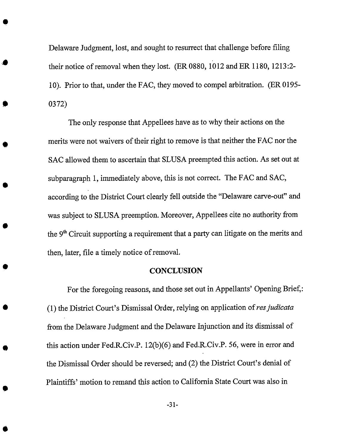Delaware Judgment, lost, and sought to resurrect that challenge before filing their notice of removal when they lost. (ER 0880, 1012 and ER 1180, 1213:2- 10). Prior to that, under the FAC, they moved to compel arbitration. (ER 0195- 0372)

The only response that Appellees have as to why their actions on the merits were not waivers of their right to remove is that neither the FAC nor the SAC allowed them to ascertain that SLUSA preempted this action. *As* set out at subparagraph 1, immediately above, this is not correct. The FAC and SAC, according to the District Court clearly fell outside the "Delaware carve-out" and was subject to SLUSA preemption. Moreover, Appellees cite no authority from the  $9<sup>th</sup>$  Circuit supporting a requirement that a party can litigate on the merits and then, later, file a timely notice of removal.

#### **CONCLUSION**

For the foregoing reasons, and those set out in Appellants' Opening Brief,: (1) the District Court's Dismissal Order, relying on application of *resjudicata* from the Delaware Judgment and the Delaware Injunction and its dismissal of this action under Fed.R.Civ.P. 12(b)(6) and Fed.R.Civ.P. 56, were in error and the Dismissal *Order* should be reversed; and (2) the District Court's denial of Plaintiffs' motion to remand this action to California State Court was also in

-31-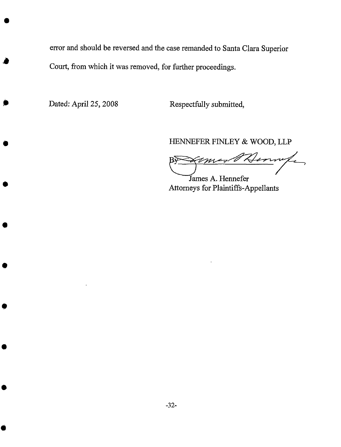error and should be reversed and the case remanded to Santa Clara Superior Court, from which it was removed, for further proceedings.

Dated: April 25, 2008 Respectfully submitted,

HENNEFER FINLEY & WOOD, *LLP*

Fermife  $\overline{\nu}$ James A. Hennefer

Attorneys for Plaintiffs-Appellants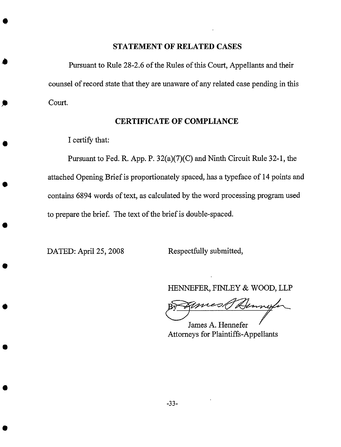#### **STATEMENT OF RELATED CASES**

Pursuant to Rule 28-2.6 **of** the Rules **of** this Court, Appellants and their counsel of record state that they are unaware of any related case pending in this Court.

#### CERTIFICATE OF COMPLIANCE

I certify that:

Pursuant to Fed. R. App. P. 32(a)(7)(C) and Ninth Circuit Rule 32-1, the attached Opening Brief is proportionately spaced, has a typeface of 14 points and contains 6894 words of text, as calculated by the word processing program used to prepare the brief. The text of the brief is double-spaced.

DATED: April 25, 2008 Respectfully submitted,

HENNEFER, FINLEY & WOOD, LLP

mest Kong

James A. Hennefer Attorneys for Plaintiffs-Appellants